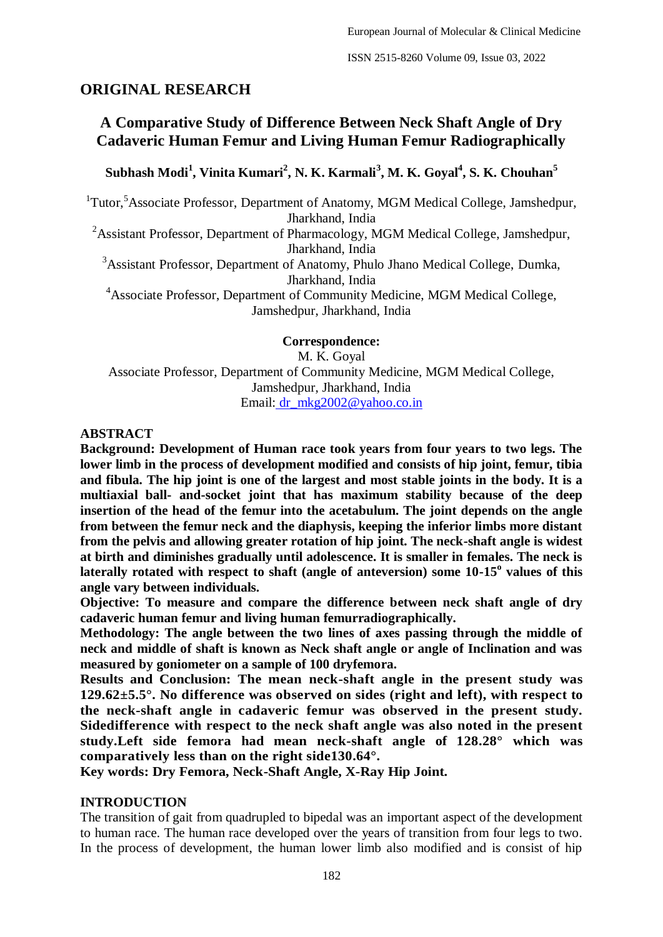# **ORIGINAL RESEARCH**

# **A Comparative Study of Difference Between Neck Shaft Angle of Dry Cadaveric Human Femur and Living Human Femur Radiographically**

**Subhash Modi<sup>1</sup> , Vinita Kumari<sup>2</sup> , N. K. Karmali<sup>3</sup> , M. K. Goyal<sup>4</sup> , S. K. Chouhan<sup>5</sup>**

<sup>1</sup>Tutor,<sup>5</sup>Associate Professor, Department of Anatomy, MGM Medical College, Jamshedpur, Jharkhand, India

<sup>2</sup>Assistant Professor, Department of Pharmacology, MGM Medical College, Jamshedpur, Jharkhand, India

<sup>3</sup>Assistant Professor, Department of Anatomy, Phulo Jhano Medical College, Dumka, Jharkhand, India

<sup>4</sup>Associate Professor, Department of Community Medicine, MGM Medical College, Jamshedpur, Jharkhand, India

**Correspondence:**

M. K. Goyal Associate Professor, Department of Community Medicine, MGM Medical College, Jamshedpur, Jharkhand, India Email: [dr\\_mkg2002@yahoo.co.in](about:blank)

#### **ABSTRACT**

**Background: Development of Human race took years from four years to two legs. The lower limb in the process of development modified and consists of hip joint, femur, tibia and fibula. The hip joint is one of the largest and most stable joints in the body. It is a multiaxial ball- and-socket joint that has maximum stability because of the deep insertion of the head of the femur into the acetabulum. The joint depends on the angle from between the femur neck and the diaphysis, keeping the inferior limbs more distant from the pelvis and allowing greater rotation of hip joint. The neck-shaft angle is widest at birth and diminishes gradually until adolescence. It is smaller in females. The neck is**  laterally rotated with respect to shaft (angle of anteversion) some 10-15<sup>°</sup> values of this **angle vary between individuals.**

**Objective: To measure and compare the difference between neck shaft angle of dry cadaveric human femur and living human femurradiographically.**

**Methodology: The angle between the two lines of axes passing through the middle of neck and middle of shaft is known as Neck shaft angle or angle of Inclination and was measured by goniometer on a sample of 100 dryfemora.**

**Results and Conclusion: The mean neck-shaft angle in the present study was 129.62±5.5°. No difference was observed on sides (right and left), with respect to the neck-shaft angle in cadaveric femur was observed in the present study. Sidedifference with respect to the neck shaft angle was also noted in the present study.Left side femora had mean neck-shaft angle of 128.28° which was comparatively less than on the right side130.64°.**

**Key words: Dry Femora, Neck-Shaft Angle, X-Ray Hip Joint.**

#### **INTRODUCTION**

The transition of gait from quadrupled to bipedal was an important aspect of the development to human race. The human race developed over the years of transition from four legs to two. In the process of development, the human lower limb also modified and is consist of hip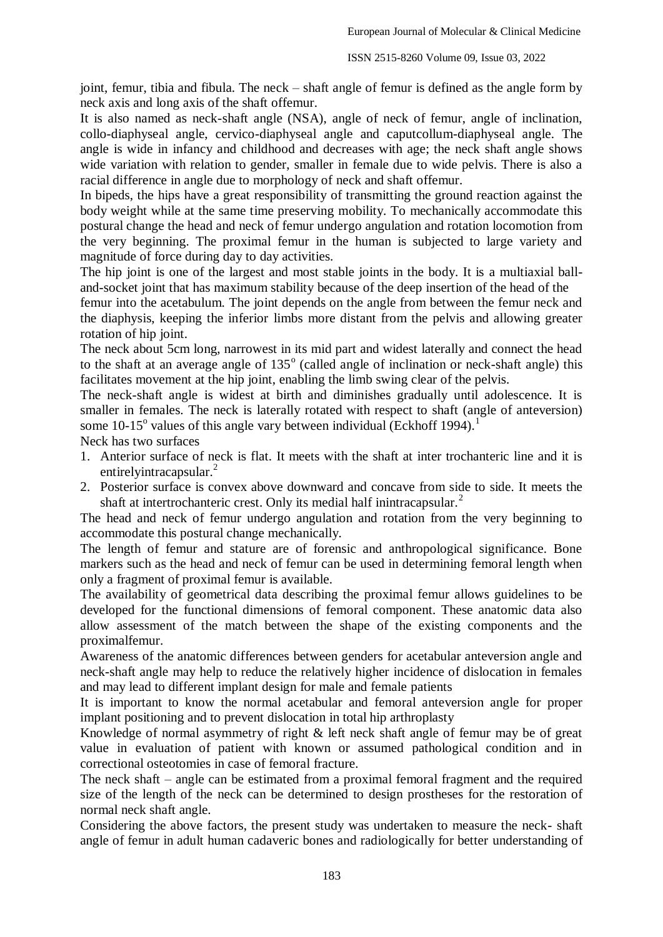joint, femur, tibia and fibula. The neck – shaft angle of femur is defined as the angle form by neck axis and long axis of the shaft offemur.

It is also named as neck-shaft angle (NSA), angle of neck of femur, angle of inclination, collo-diaphyseal angle, cervico-diaphyseal angle and caputcollum-diaphyseal angle. The angle is wide in infancy and childhood and decreases with age; the neck shaft angle shows wide variation with relation to gender, smaller in female due to wide pelvis. There is also a racial difference in angle due to morphology of neck and shaft offemur.

In bipeds, the hips have a great responsibility of transmitting the ground reaction against the body weight while at the same time preserving mobility. To mechanically accommodate this postural change the head and neck of femur undergo angulation and rotation locomotion from the very beginning. The proximal femur in the human is subjected to large variety and magnitude of force during day to day activities.

The hip joint is one of the largest and most stable joints in the body. It is a multiaxial balland-socket joint that has maximum stability because of the deep insertion of the head of the

femur into the acetabulum. The joint depends on the angle from between the femur neck and the diaphysis, keeping the inferior limbs more distant from the pelvis and allowing greater rotation of hip joint.

The neck about 5cm long, narrowest in its mid part and widest laterally and connect the head to the shaft at an average angle of  $135^\circ$  (called angle of inclination or neck-shaft angle) this facilitates movement at the hip joint, enabling the limb swing clear of the pelvis.

The neck-shaft angle is widest at birth and diminishes gradually until adolescence. It is smaller in females. The neck is laterally rotated with respect to shaft (angle of anteversion) some  $10-15^\circ$  values of this angle vary between individual (Eckhoff 1994).<sup>1</sup>

Neck has two surfaces

- 1. Anterior surface of neck is flat. It meets with the shaft at inter trochanteric line and it is entirelyintracapsular.<sup>2</sup>
- 2. Posterior surface is convex above downward and concave from side to side. It meets the shaft at intertrochanteric crest. Only its medial half inintracapsular.<sup>2</sup>

The head and neck of femur undergo angulation and rotation from the very beginning to accommodate this postural change mechanically.

The length of femur and stature are of forensic and anthropological significance. Bone markers such as the head and neck of femur can be used in determining femoral length when only a fragment of proximal femur is available.

The availability of geometrical data describing the proximal femur allows guidelines to be developed for the functional dimensions of femoral component. These anatomic data also allow assessment of the match between the shape of the existing components and the proximalfemur.

Awareness of the anatomic differences between genders for acetabular anteversion angle and neck-shaft angle may help to reduce the relatively higher incidence of dislocation in females and may lead to different implant design for male and female patients

It is important to know the normal acetabular and femoral anteversion angle for proper implant positioning and to prevent dislocation in total hip arthroplasty

Knowledge of normal asymmetry of right & left neck shaft angle of femur may be of great value in evaluation of patient with known or assumed pathological condition and in correctional osteotomies in case of femoral fracture.

The neck shaft – angle can be estimated from a proximal femoral fragment and the required size of the length of the neck can be determined to design prostheses for the restoration of normal neck shaft angle.

Considering the above factors, the present study was undertaken to measure the neck- shaft angle of femur in adult human cadaveric bones and radiologically for better understanding of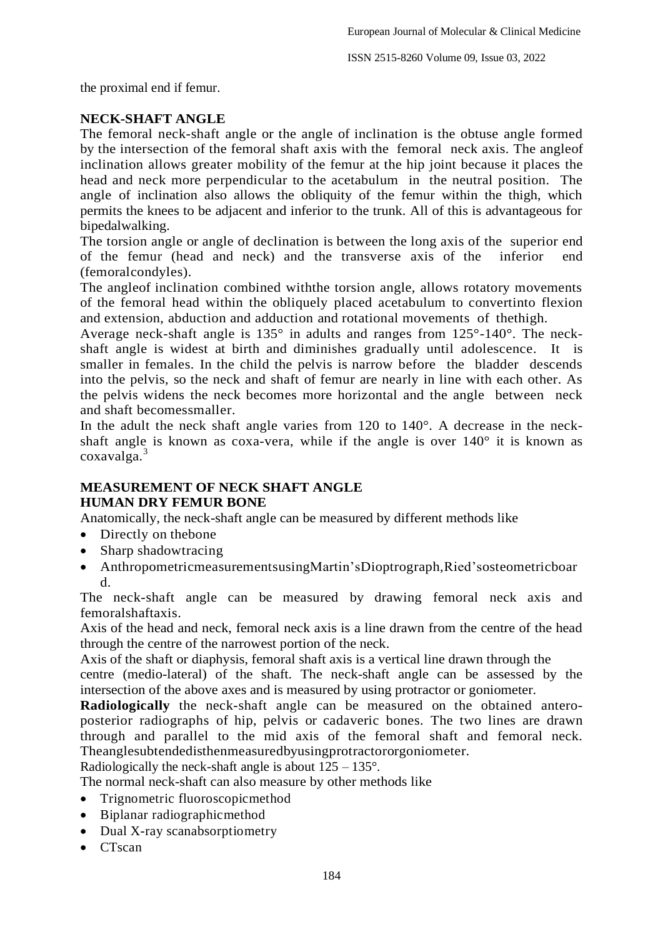the proximal end if femur.

## **NECK-SHAFT ANGLE**

The femoral neck-shaft angle or the angle of inclination is the obtuse angle formed by the intersection of the femoral shaft axis with the femoral neck axis. The angleof inclination allows greater mobility of the femur at the hip joint because it places the head and neck more perpendicular to the acetabulum in the neutral position. The angle of inclination also allows the obliquity of the femur within the thigh, which permits the knees to be adjacent and inferior to the trunk. All of this is advantageous for bipedalwalking.

The torsion angle or angle of declination is between the long axis of the superior end of the femur (head and neck) and the transverse axis of the inferior end (femoralcondyles).

The angleof inclination combined withthe torsion angle, allows rotatory movements of the femoral head within the obliquely placed acetabulum to convertinto flexion and extension, abduction and adduction and rotational movements of thethigh.

Average neck-shaft angle is 135° in adults and ranges from 125°-140°. The neckshaft angle is widest at birth and diminishes gradually until adolescence. It is smaller in females. In the child the pelvis is narrow before the bladder descends into the pelvis, so the neck and shaft of femur are nearly in line with each other. As the pelvis widens the neck becomes more horizontal and the angle between neck and shaft becomessmaller.

In the adult the neck shaft angle varies from 120 to 140°. A decrease in the neckshaft angle is known as coxa-vera, while if the angle is over 140° it is known as coxavalga.<sup>3</sup>

## **MEASUREMENT OF NECK SHAFT ANGLE HUMAN DRY FEMUR BONE**

Anatomically, the neck-shaft angle can be measured by different methods like

- Directly on the bone
- Sharp shadowtracing
- AnthropometricmeasurementsusingMartin'sDioptrograph,Ried'sosteometricboar d.

The neck-shaft angle can be measured by drawing femoral neck axis and femoralshaftaxis.

Axis of the head and neck, femoral neck axis is a line drawn from the centre of the head through the centre of the narrowest portion of the neck.

Axis of the shaft or diaphysis, femoral shaft axis is a vertical line drawn through the

centre (medio-lateral) of the shaft. The neck-shaft angle can be assessed by the intersection of the above axes and is measured by using protractor or goniometer.

**Radiologically** the neck-shaft angle can be measured on the obtained anteroposterior radiographs of hip, pelvis or cadaveric bones. The two lines are drawn through and parallel to the mid axis of the femoral shaft and femoral neck. Theanglesubtendedisthenmeasuredbyusingprotractororgoniometer.

Radiologically the neck-shaft angle is about  $125 - 135^{\circ}$ .

The normal neck-shaft can also measure by other methods like

- Trignometric fluoroscopicmethod
- Biplanar radiographicmethod
- Dual X-ray scanabsorptiometry
- $\bullet$  CTscan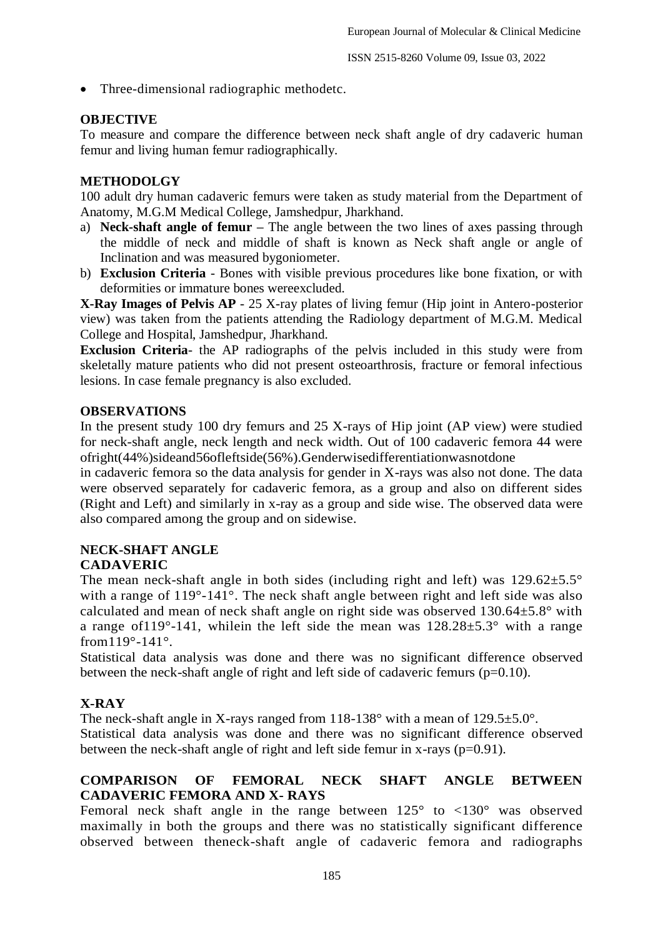• Three-dimensional radiographic methodetc.

## **OBJECTIVE**

To measure and compare the difference between neck shaft angle of dry cadaveric human femur and living human femur radiographically.

### **METHODOLGY**

100 adult dry human cadaveric femurs were taken as study material from the Department of Anatomy, M.G.M Medical College, Jamshedpur, Jharkhand.

- a) **Neck-shaft angle of femur –** The angle between the two lines of axes passing through the middle of neck and middle of shaft is known as Neck shaft angle or angle of Inclination and was measured bygoniometer.
- b) **Exclusion Criteria**  Bones with visible previous procedures like bone fixation, or with deformities or immature bones wereexcluded.

**X-Ray Images of Pelvis AP** - 25 X-ray plates of living femur (Hip joint in Antero-posterior view) was taken from the patients attending the Radiology department of M.G.M. Medical College and Hospital, Jamshedpur, Jharkhand.

**Exclusion Criteria**- the AP radiographs of the pelvis included in this study were from skeletally mature patients who did not present osteoarthrosis, fracture or femoral infectious lesions. In case female pregnancy is also excluded.

#### **OBSERVATIONS**

In the present study 100 dry femurs and 25 X-rays of Hip joint (AP view) were studied for neck-shaft angle, neck length and neck width. Out of 100 cadaveric femora 44 were ofright(44%)sideand56ofleftside(56%).Genderwisedifferentiationwasnotdone

in cadaveric femora so the data analysis for gender in X-rays was also not done. The data were observed separately for cadaveric femora, as a group and also on different sides (Right and Left) and similarly in x-ray as a group and side wise. The observed data were also compared among the group and on sidewise.

# **NECK-SHAFT ANGLE**

# **CADAVERIC**

The mean neck-shaft angle in both sides (including right and left) was  $129.62 \pm 5.5^{\circ}$ with a range of 119°-141°. The neck shaft angle between right and left side was also calculated and mean of neck shaft angle on right side was observed  $130.64 \pm 5.8$ ° with a range of119°-141, whilein the left side the mean was 128.28±5.3° with a range from119°-141°.

Statistical data analysis was done and there was no significant difference observed between the neck-shaft angle of right and left side of cadaveric femurs (p=0.10).

# **X-RAY**

The neck-shaft angle in X-rays ranged from 118-138° with a mean of 129.5 $\pm$ 5.0°.

Statistical data analysis was done and there was no significant difference observed between the neck-shaft angle of right and left side femur in x-rays  $(p=0.91)$ .

# **COMPARISON OF FEMORAL NECK SHAFT ANGLE BETWEEN CADAVERIC FEMORA AND X- RAYS**

Femoral neck shaft angle in the range between  $125^{\circ}$  to  $\langle 130^{\circ}$  was observed maximally in both the groups and there was no statistically significant difference observed between theneck-shaft angle of cadaveric femora and radiographs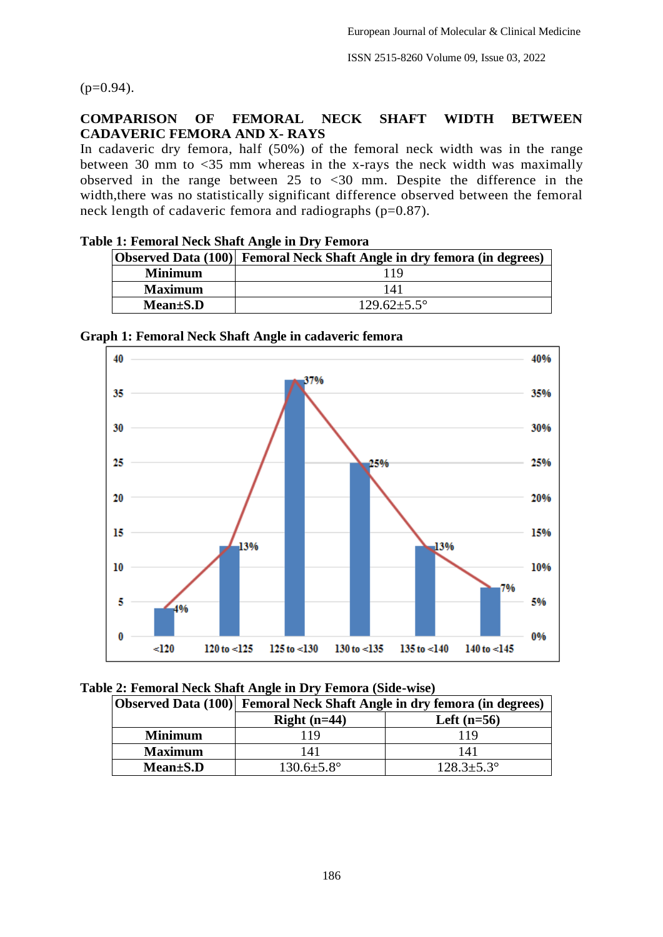$(p=0.94)$ .

## **COMPARISON OF FEMORAL NECK SHAFT WIDTH BETWEEN CADAVERIC FEMORA AND X- RAYS**

In cadaveric dry femora, half (50%) of the femoral neck width was in the range between 30 mm to <35 mm whereas in the x-rays the neck width was maximally observed in the range between 25 to  $\langle 30 \rangle$  mm. Despite the difference in the width,there was no statistically significant difference observed between the femoral neck length of cadaveric femora and radiographs (p=0.87).

|                | Observed Data (100) Femoral Neck Shaft Angle in dry femora (in degrees) |  |
|----------------|-------------------------------------------------------------------------|--|
| <b>Minimum</b> |                                                                         |  |
| <b>Maximum</b> | 141                                                                     |  |
| $Mean \pm S.D$ | $129.62 \pm 5.5^{\circ}$                                                |  |

## **Table 1: Femoral Neck Shaft Angle in Dry Femora**



## **Graph 1: Femoral Neck Shaft Angle in cadaveric femora**

|  | Table 2: Femoral Neck Shaft Angle in Dry Femora (Side-wise) |  |  |
|--|-------------------------------------------------------------|--|--|
|  |                                                             |  |  |

|                | Observed Data (100) Femoral Neck Shaft Angle in dry femora (in degrees) |                         |  |
|----------------|-------------------------------------------------------------------------|-------------------------|--|
|                | Right $(n=44)$                                                          | Left $(n=56)$           |  |
| <b>Minimum</b> | 19                                                                      | 119                     |  |
| <b>Maximum</b> | 141                                                                     | 141                     |  |
| $Mean \pm S.D$ | $130.6 \pm 5.8^{\circ}$                                                 | $128.3 \pm 5.3^{\circ}$ |  |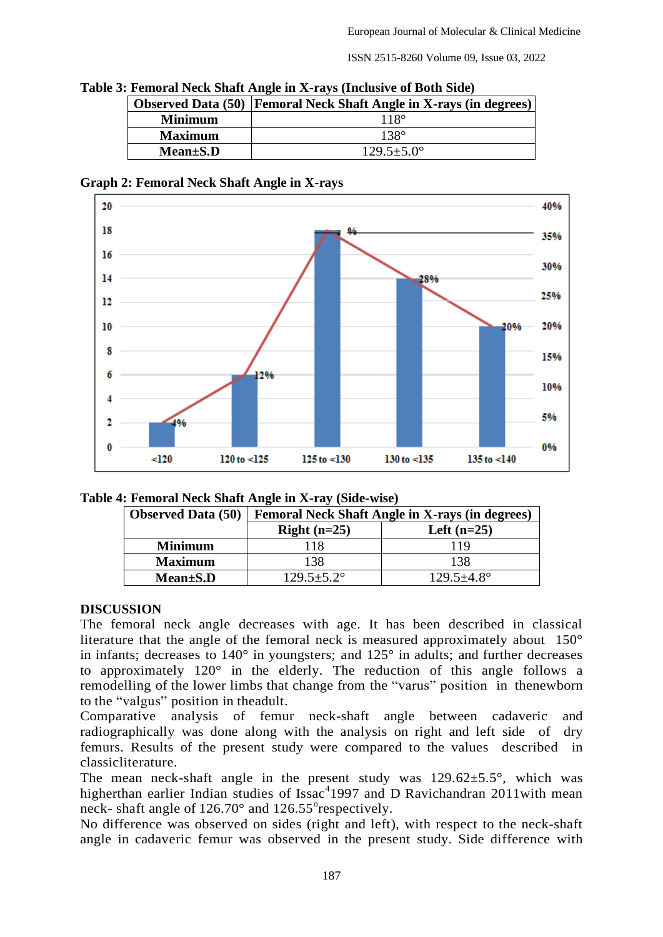| e 3: Femoral Neck Shait Angle in X-rays (Inclusive of Both Side) |                                                                           |  |  |
|------------------------------------------------------------------|---------------------------------------------------------------------------|--|--|
|                                                                  | <b>Observed Data (50) Femoral Neck Shaft Angle in X-rays (in degrees)</b> |  |  |
| <b>Minimum</b>                                                   | $118^\circ$                                                               |  |  |
| <b>Maximum</b>                                                   | $138^\circ$                                                               |  |  |
| $Mean \pm S.D$                                                   | $129.5 + 5.0^{\circ}$                                                     |  |  |

Table 3: F

#### **Graph 2: Femoral Neck Shaft Angle in X-rays**



| <b>Observed Data (50)</b> | <b>Femoral Neck Shaft Angle in X-rays (in degrees)</b> |                         |  |
|---------------------------|--------------------------------------------------------|-------------------------|--|
|                           | Right $(n=25)$                                         | Left $(n=25)$           |  |
| <b>Minimum</b>            | 118                                                    | 119                     |  |
| <b>Maximum</b>            | 138                                                    | 138                     |  |
| $Mean \pm S.D$            | $129.5 \pm 5.2^{\circ}$                                | $129.5 \pm 4.8^{\circ}$ |  |

#### **DISCUSSION**

The femoral neck angle decreases with age. It has been described in classical literature that the angle of the femoral neck is measured approximately about 150° in infants; decreases to  $140^\circ$  in youngsters; and  $125^\circ$  in adults; and further decreases to approximately 120° in the elderly. The reduction of this angle follows a remodelling of the lower limbs that change from the "varus" position in thenewborn to the "valgus" position in theadult.

Comparative analysis of femur neck-shaft angle between cadaveric and radiographically was done along with the analysis on right and left side of dry femurs. Results of the present study were compared to the values described in classicliterature.

The mean neck-shaft angle in the present study was  $129.62 \pm 5.5^{\circ}$ , which was higherthan earlier Indian studies of Issac<sup>4</sup>1997 and D Ravichandran 2011 with mean neck- shaft angle of  $126.70^{\circ}$  and  $126.55^{\circ}$ respectively.

No difference was observed on sides (right and left), with respect to the neck-shaft angle in cadaveric femur was observed in the present study. Side difference with